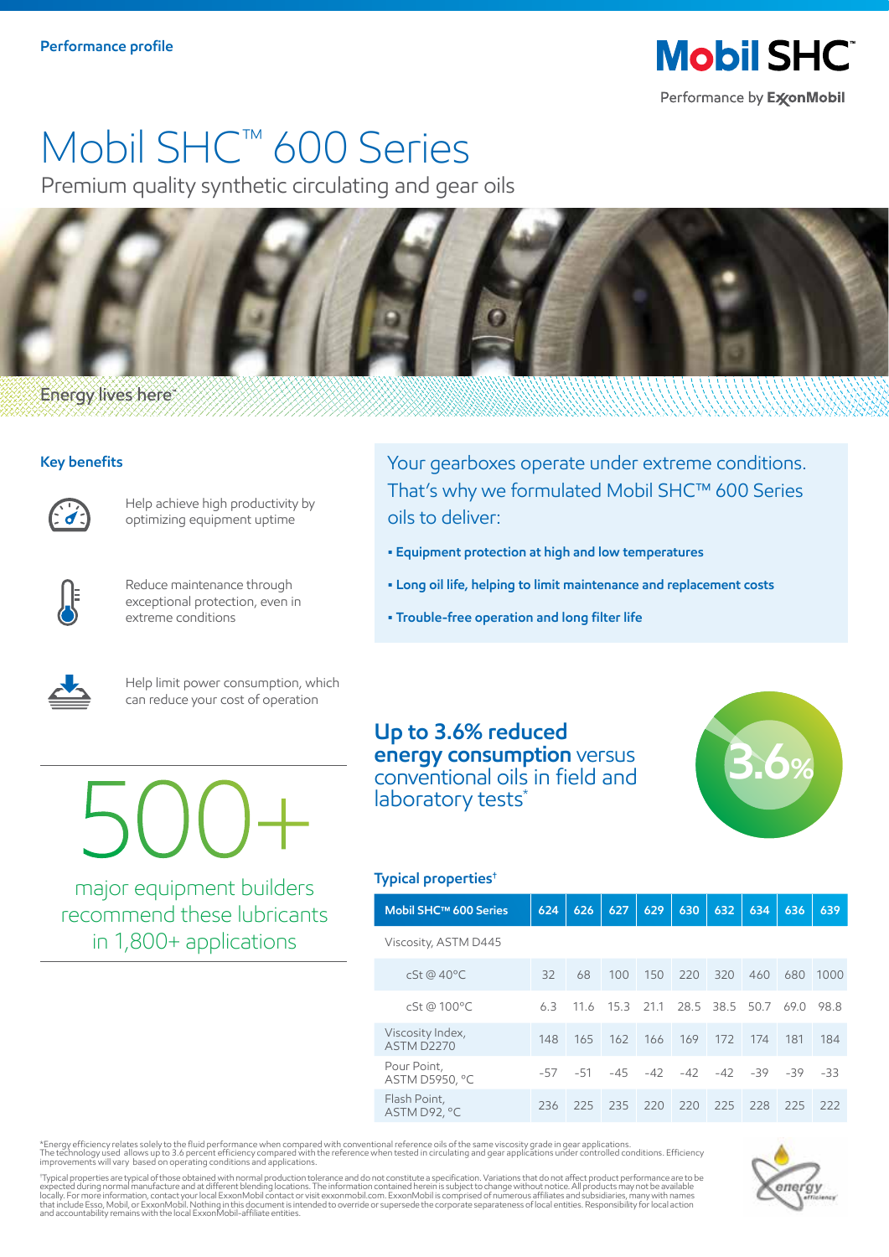# Mobil SHC™ 600 Series

Premium quality synthetic circulating and gear oils



## **Energy lives here**

## **Key benefits**



Help achieve high productivity by optimizing equipment uptime



Reduce maintenance through exceptional protection, even in extreme conditions

Your gearboxes operate under extreme conditions. That's why we formulated Mobil SHC™ 600 Series oils to deliver:

- **Equipment protection at high and low temperatures**
- **Long oil life, helping to limit maintenance and replacement costs**
- **Trouble-free operation and long filter life**



Help limit power consumption, which can reduce your cost of operation

500+

major equipment builders recommend these lubricants in 1,800+ applications

**Up to 3.6% reduced energy consumption** versus conventional oils in field and laboratory tests<sup>\*</sup>



### **Typical properties†**

|  | Mobil SHC™ 600 Series                 | 624 | 626   | 627   | 629 | 630                           | 632 | 634  | 636 | 639   |  |
|--|---------------------------------------|-----|-------|-------|-----|-------------------------------|-----|------|-----|-------|--|
|  | Viscosity, ASTM D445                  |     |       |       |     |                               |     |      |     |       |  |
|  | cSt @ 40°C                            | 32  | 68    | 100   | 150 | 220                           | 320 | 460  | 680 | 1000  |  |
|  | cSt @ 100°C                           | 63  | 116   |       |     | 15.3 21.1 28.5 38.5           |     | 50.7 | 690 | 98.8  |  |
|  | Viscosity Index,<br><b>ASTM D2270</b> | 148 | 165   | 162   | 166 | 169                           | 172 | 174  | 181 | 184   |  |
|  | Pour Point,<br>ASTM D5950, °C         | -57 | $-51$ | $-45$ |     | $-42$ $-42$ $-42$ $-39$ $-39$ |     |      |     | $-33$ |  |
|  | Flash Point,<br>ASTM D92, °C          | 236 | 225   | 235   | 220 | 220                           | 225 | 228  | 225 | 222   |  |

\*Energy efficiency relates solely to the fluid performance when compared with conventional reference oils of the same viscosity grade in gear applications.<br>The technology used allows up to 3.6 percent efficiency compared w

'Typical properties are typical of those obtained with normal production tolerance and do not constitute a specification. Variations that on other and product performance are to be<br>expected during normal manufacture and at